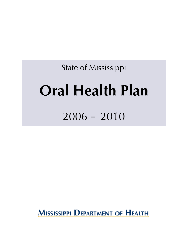State of Mississippi

# **Oral Health Plan**

## 2006 – 2010

**MISSISSIPPI DEPARTMENT OF HEALTH**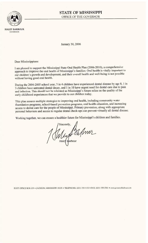

**HALEY BARBOUR GOVERNOR** 

### **STATE OF MISSISSIPPI** OFFICE OF THE GOVERNOR

January 30, 2006

Dear Mississippians:

I am pleased to support the Mississippi State Oral Health Plan (2006-2010), a comprehensive approach to improve the oral health of Mississippi's families. Oral health is vitally important to our children's growth and development, and their overall health and well-being is not possible without having good oral health.

During the 2004-2005 school year, 3 in 4 children have experienced dental disease by age 8, 1 in 3 children have untreated dental decay, and 1 in 10 have urgent need for dental care due to pain and infection. This should not be tolerated as Mississippi's future relies on the quality of the early childhood experiences that we provide to our children today.

This plan assures multiple strategies to improving oral health, including community water fluoridation programs, school-based prevention programs, oral health education, and increasing access to dental care for the people of Mississippi. Primary prevention, along with appropriate personal behaviors and access to regular dental check-ups can prevent virtually all dental disease.

Working together, we can ensure a healthier future for Mississippi's children and families.

Meyet du flm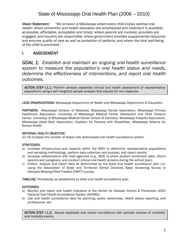Vision Statement: *"We envision a Mississippi where every child enjoys optimal oral health; where prevention and health education are emphasized and treatment is available, accessible, affordable, acceptable and timely; where parents are involved, providers are engaged, and insurers are responsible; where government provides supplemental resources and ensures quality of care as well as protection of patients; and where the total well-being of the child is promoted."* 

### I. ASSESSMENT

*GOAL 1: Establish and maintain an ongoing oral health surveillance system to measure the population's oral health status and needs, determine the effectiveness of interventions, and report oral health outcomes.* 

ACTION STEP I.1.1: Perform periodic statewide clinical oral health assessment of representative populations using a self weighted sample analysis that adjusts for non-response.

LEAD ORGANIZATIONS: Mississippi Department of Health and Mississippi Department of Education

PARTNERS: Mississippi Division of Medicaid, Mississippi Dental Association, Mississippi Primary Healthcare Association, University of Mississippi Medical Center Adolescent and Child Tobacco Center, University of Mississippi Medical Center School of Dentistry, Mississippi Hospital Association, Mississippi Head Start Association, Coalition for Persons with Disabilities, Mississippi Alliance for School Health

### NATIONAL HEALTH OBJECTIVE:

21-16 Increase the number of states with state-based oral health surveillance system.

### STRATEGIES:

- a) Increase infrastructure and capacity within the MDH to determine representative populations and sampling methodology, perform data collection and analysis, and report results;
- b) Increase collaborations with lead agencies (e.g., MDE to share student enrollment data, inform parents and caregivers, and conduct clinical oral health screens during the school year);
- c) Collect, analyze and report data as determined by the state oral health surveillance plan (i.e. using the Association of State and Territorial Dental Directors Basic Screening Survey or Decayed-Missing-Filled-Treated (DMFT) survey).

TIMELINE: Periodically as established by state oral health surveillance plan.

### OUTCOMES:

- a) Monitor and report oral health indicators to the Center for Disease Control & Prevention (CDC) National Oral Health Surveillance System (NOHSS);
- b) Use oral health surveillance data for planning, public awareness, health status reporting, and professional use.

ACTION STEP I.1.2: Assure statewide oral cancer surveillance with periodic reviews of morbidity and mortality events.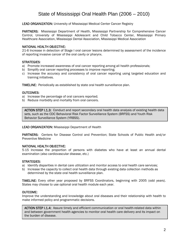LEAD ORGANIZATION: University of Mississippi Medical Center Cancer Registry

PARTNERS: Mississippi Department of Health, Mississippi Partnership for Comprehensive Cancer Control, University of Mississippi Adolescent and Child Tobacco Center, Mississippi Primary Healthcare Association, Mississippi Dental Association, Mississippi Medical Association

### NATIONAL HEALTH OBJECTIVE:

21-6 Increase in detection of Stage I oral cancer lesions determined by assessment of the incidence of reporting invasive cancer of the oral cavity or pharynx.

### STRATEGIES:

- a) Promote increased awareness of oral cancer reporting among all health professionals;
- b) Simplify oral cancer reporting processes to improve reporting;
- c) Increase the accuracy and consistency of oral cancer reporting using targeted education and training initiatives.

TIMELINE: Periodically as established by state oral health surveillance plan.

### OUTCOMES:

- a) Increase the percentage of oral cancers reported;
- b) Reduce morbidity and mortality from oral cancers.

ACTION STEP I.1.3: Conduct and report secondary oral health data analysis of existing health data sets, such as the CDC Behavioral Risk Factor Surveillance System (BRFSS) and Youth Risk Behavior Surveillance System (YRBSS).

### LEAD ORGANIZATION: Mississippi Department of Health

PARTNERS: Centers for Disease Control and Prevention; State Schools of Public Health and/or Preventive Medicine

### NATIONAL HEALTH OBJECTIVE:

5-15 Increase the proportion of persons with diabetes who have at least an annual dental examination (also cardiovascular disease, etc.)

### STRATEGIES:

- a) Identify disparities in dental care utilization and monitor access to oral health care services;
- b) Increase the capacity to collect oral health data through existing data collection methods as determined by the state oral health surveillance plan.

TIMELINE: Every other year proposed by BRFSS Coordinators, beginning with 2005 (odd years). States may choose to use optional oral health module each year.

### OUTCOME:

Improve the understanding and knowledge about oral diseases and their relationship with health to make informed policy and programmatic decisions.

ACTION STEP I.1.4: Assure timely and efficient communication or oral health-related data within and between government health agencies to monitor oral health care delivery and its impact on the burden of disease.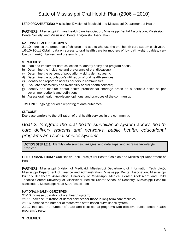LEAD ORGANIZATIONS: Mississippi Division of Medicaid and Mississippi Department of Health

PARTNERS: Mississippi Primary Health Care Association, Mississippi Dental Association, Mississippi Dental Society, and Mississippi Dental Hygienists' Association

### NATIONAL HEALTH OBJECTIVES:

21-10 Increase the proportion of children and adults who use the oral health care system each year. 16-10/16-11 Obtain data on access to oral health care for mothers of low birth weight babies, very low birth weight babies, and preterm births.

### STRATEGIES:

- a) Plan and implement data collection to identify policy and program needs;
- b) Determine the incidence and prevalence of oral disease(s);
- c) Determine the percent of population visiting dentist yearly;
- d) Determine the population's utilization of oral health services;
- e) Identify and report on access barriers in communities;
- f) Evaluate accessibility and availability of oral health services;
- g) Identify and monitor dental health professional shortage areas on a periodic basis as per government criteria and definitions;
- h) Assess oral health knowledge, opinions, and practices of the community.

TIMELINE: Ongoing; periodic reporting of data outcomes

### OUTCOME:

 

Decrease barriers to the utilization of oral health services in the community.

### *Goal 2: Integrate the oral health surveillance system across health care delivery systems and networks, public health, educational programs and social service systems.*

ACTION STEP I.2.1: Identify data sources, linkages, and data gaps, and increase knowledge transfer.

LEAD ORGANIZATIONS: Oral Health Task Force / Oral Health Coalition and Mississippi Department of Health

PARTNERS: Mississippi Division of Medicaid, Mississippi Department of Information Technology, Mississippi Department of Finance and Administration, Mississippi Dental Association, Mississippi Primary Healthcare Association, University of Mississippi Medical Center Adolescent and Child Tobacco Center; University of Mississippi Medical Center School of Dentistry, Mississippi Hospital Association, Mississippi Head Start Association

### NATIONAL HEALTH OBJECTIVES:

21-10 Increase utilization of oral health system;

21-11 Increase utilization of dental services for those in long-term care facilities;

21-16 Increase the number of states with state-based surveillance system;

21-17 Increase the number of state and local dental programs with effective public dental health program/director.

### STRATEGIES: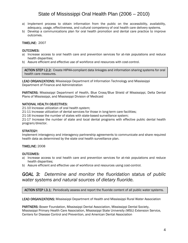- a) Implement process to obtain information from the public on the accessibility, availability, adequacy, usage, effectiveness, and cultural competency of oral health care delivery systems.
- b) Develop a communications plan for oral health promotion and dental care practice to improve outcomes.

### TIMELINE: 2007

### OUTCOMES:

- a) Increase access to oral health care and prevention services for at-risk populations and reduce health disparities;
- b) Assure efficient and effective use of workforce and resources with cost-control.

ACTION STEP I.2.2: Create HIPAA-compliant data linkages and information sharing systems for oral health care measures.

LEAD ORGANIZATIONS: Mississippi Department of Information Technology and Mississippi Department of Finance and Administration

PARTNERS: Mississippi Department of Health, Blue Cross/Blue Shield of Mississippi, Delta Dental Plans of Mississippi, and Mississippi Division of Medicaid

### NATIONAL HEALTH OBJECTIVES:

21-10 Increase utilization of oral health system;

21-11 Increase utilization of dental services for those in long-term care facilities;

21-16 Increase the number of states with state-based surveillance system;

21-17 Increase the number of state and local dental programs with effective public dental health program/director.

### STRATEGY:

Implement interagency and interagency partnership agreements to communicate and share required health data as determined by the state oral health surveillance plan.

### TIMELINE: 2008

### OUTCOMES:

- a) Increase access to oral health care and prevention services for at-risk populations and reduce health disparities;
- b) Assure efficient and effective use of workforce and resources using cost-control.

### *GOAL 3: Determine and monitor the fluoridation status of public water systems and natural sources of dietary fluoride.*

ACTION STEP I.3.1: Periodically assess and report the fluoride content of all public water systems.

LEAD ORGANIZATIONS: Mississippi Department of Health and Mississippi Rural Water Association

PARTNERS: Bower Foundation, Mississippi Dental Association, Mississippi Dental Society, Mississippi Primary Health Care Association, Mississippi State University (MSU) Extension Service, Centers for Disease Control and Prevention, and American Dental Association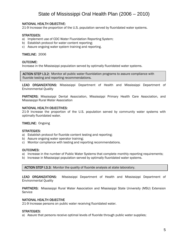### NATIONAL HEALTH OBJECTIVE:

21-9 Increase the proportion of the U.S. population served by fluoridated water systems.

### STRATEGIES:

- a) Implement use of CDC Water Fluoridation Reporting System;
- b) Establish protocol for water content reporting;
- c) Assure ongoing water system training and reporting.

#### TIMELINE: 2006

#### OUTCOME:

 $\overline{a}$ 

 $\overline{a}$ 

Increase in the Mississippi population served by optimally fluoridated water systems.

ACTION STEP I.3.2: Monitor all public water fluoridation programs to assure compliance with fluoride testing and reporting recommendations.

LEAD ORGANIZATIONS: Mississippi Department of Health and Mississippi Department of Environmental Quality

PARTNERS: Mississippi Dental Association, Mississippi Primary Health Care Association, and Mississippi Rural Water Association

#### NATIONAL HEALTH OBJECTIVES:

21-9 Increase the proportion of the U.S. population served by community water systems with optimally fluoridated water.

#### TIMELINE: Ongoing

#### STRATEGIES:

- a) Establish protocol for fluoride content testing and reporting;
- b) Assure ongoing water operator training;
- c) Monitor compliance with testing and reporting recommendations.

#### OUTCOMES:

Ī 

- a) Increase in the number of Public Water Systems that complete monthly reporting requirements;
- b) Increase in Mississippi population served by optimally fluoridated water systems.

ACTION STEP I.3.3: Monitor the quality of fluoride analysis at state laboratory.

LEAD ORGANIZATIONS: Mississippi Department of Health and Mississippi Department of Environmental Quality

PARTNERS: Mississippi Rural Water Association and Mississippi State University (MSU) Extension Service

#### NATIONAL HEALTH OBJECTIVE

21-9 Increase persons on public water receiving fluoridated water.

#### STRATEGIES:

a) Assure that persons receive optimal levels of fluoride through public water supplies;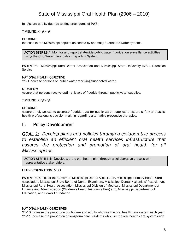b) Assure quality fluoride testing procedures of PWS.

### TIMELINE: Ongoing

### OUTCOME:

Increase in the Mississippi population served by optimally fluoridated water systems.

using the CDC Water Fluoridation Reporting System. ACTION STEP I.3.4: Monitor and report statewide public water fluoridation surveillance activities

PARTNERS: Mississippi Rural Water Association and Mississippi State University (MSU) Extension **Service** 

### NATIONAL HEALTH OBJECTIVE

21-9 Increase persons on public water receiving fluoridated water.

### STRATEGY:

Assure that persons receive optimal levels of fluoride through public water supplies.

### TIMELINE: Ongoing

### OUTCOME:

Assure timely access to accurate fluoride data for public water supplies to assure safety and assist health professional's decision-making regarding alternative preventive therapies.

### II. Policy Development

*GOAL 1: Develop plans and policies through a collaborative process to establish an efficient oral health services infrastructure that assures the protection and promotion of oral health for all Mississippians.* 

ACTION STEP II.1.1: Develop a state oral health plan through a collaborative process with representative stakeholders.

### LEAD ORGANIZATION: MDH

PARTNERS: Office of the Governor, Mississippi Dental Association, Mississippi Primary Health Care Association, Mississippi State Board of Dental Examiners, Mississippi Dental Hygienists' Association, Mississippi Rural Health Association, Mississippi Division of Medicaid, Mississippi Department of Finance and Administration (Children's Health Insurance Program), Mississippi Department of Education, and Bower Foundation

### NATIONAL HEALTH OBJECTIVES:

21-10 Increase the proportion of children and adults who use the oral health care system each year; 21-11 Increase the proportion of long-term care residents who use the oral health care system each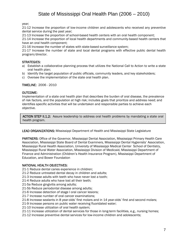year;

21-12 Increase the proportion of low-income children and adolescents who received any preventive dental service during the past year;

21-13 Increase the proportion of school-based health centers with an oral health component;

21-14 Increase the proportion of local health departments and community-based health centers that have an oral health component;

21-16 Increase the number of states with state-based surveillance system;

21-17 Increase the number of state and local dental programs with effective public dental health program/director.

### STRATEGIES:

- a) Establish a collaborative planning process that utilizes the National Call to Action to write a state oral health plan;
- b) Identify the target population of public officials, community leaders, and key stakeholders;
- c) Oversee the implementation of the state oral health plan.

### TIMELINE: 2006 - 2010

### OUTCOME:

Implementation of a state oral health plan that describes the burden of oral disease, the prevalence of risk factors, and the population at high risk; includes goals that prioritize and address need; and identifies specific activities that will be undertaken and responsible parties to achieve each objective.

ACTION STEP II.1.2: Assure leadership to address oral health problems by mandating a state oral health program.

### LEAD ORGANIZATIONS: Mississippi Department of Health and Mississippi State Legislature

PARTNERS: Office of the Governor, Mississippi Dental Association, Mississippi Primary Health Care Association, Mississippi State Board of Dental Examiners, Mississippi Dental Hygienists' Association, Mississippi Rural Health Association, University of Mississippi Medical Center School of Dentistry, Mississippi Rural Water Association, Mississippi Division of Medicaid, Mississippi Department of Finance and Administration (Children's Health Insurance Program), Mississippi Department of Education, and Bower Foundation

### NATIONAL HEALTH OBJECTIVES:

21-1 Reduce dental caries experience in children;

21-2 Reduce untreated dental decay in children and adults;

21-3 Increase adults with teeth who have never lost a tooth;

21-4 Reduce adults who have lost all their teeth;

21-5a Reduce gingivitis among adults;

21-5b Reduce periodontal disease among adults;

21-6 Increase detection of stage I oral cancer lesions;

21-7 Increase number of oral cancer examinations;

21-8 Increase sealants in 8 year-olds' first molars and in 14 year-olds' first and second molars;

21-9 Increase persons on public water receiving fluoridated water;

21-10 Increase utilization of oral health system;

21-11 Increase utilization of dental services for those in long-term facilities, e.g., nursing homes;

21-12 Increase preventive dental services for low-income children and adolescents;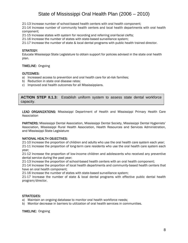21-13 Increase number of school-based health centers with oral health component;

21-14 Increase number of community health centers and local health departments with oral health component;

21-15 Increase states with system for recording and referring oral-facial clefts;

21-16 Increase the number of states with state-based surveillance system;

21-17 Increase the number of state & local dental programs with public health trained director.

### STRATEGY:

Educate Mississippi State Legislature to obtain support for policies advised in the state oral health plan.

### TIMELINE: Ongoing

#### OUTCOMES:

- a) Increased access to prevention and oral health care for at-risk families;
- b) Reduction in state oral disease rates;
- c) Improved oral health outcomes for all Mississippians.

١ LEAD ORGANIZATIONS: MDH, MS Division of Medicaid, MS State Board of Dental Examiners capacity.**ACTION STEP II.1.3:** Establish uniform system to assess state dental workforce

LEAD ORGANIZATIONS: Mississippi Department of Health and Mississippi Primary Health Care **Association** 

PARTNERS: Mississippi Dental Association, Mississippi Dental Society, Mississippi Dental Hygienists' Association, Mississippi Rural Health Association, Health Resources and Services Administration, and Mississippi State Legislature

### NATIONAL HEALTH OBJECTIVES:

21-10 Increase the proportion of children and adults who use the oral health care system each year; 21-11 Increase the proportion of long-term care residents who use the oral health care system each year;

21-12 Increase the proportion of low-income children and adolescents who received any preventive dental service during the past year;

21-13 Increase the proportion of school-based health centers with an oral health component;

21-14 Increase the proportion of local health departments and community-based health centers that have an oral health component;

21-16 Increase the number of states with state-based surveillance system;

21-17 Increase the number of state & local dental programs with effective public dental health program/director.

#### STRATEGIES:

a) Maintain an ongoing database to monitor oral health workforce needs;

b) Monitor decrease in barriers to utilization of oral health services in communities.

TIMELINE: Ongoing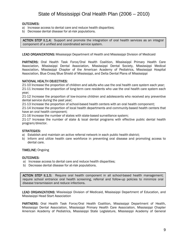### OUTCOMES:

- a) Increase access to dental care and reduce health disparities;
- b) Decrease dental disease for at-risk populations.

 component of a unified and coordinated service system.  $\overline{a}$ ACTION STEP II.1.4: Support and promote the integration of oral health services as an integral

LEAD ORGANIZATIONS: Mississippi Department of Health and Mississippi Division of Medicaid

PARTNERS: Oral Health Task Force/Oral Health Coalition, Mississippi Primary Health Care Association, Mississippi Dental Association, Mississippi Dental Society, Mississippi Medical Association, Mississippi Chapter of the American Academy of Pediatrics, Mississippi Hospital Association, Blue Cross/Blue Shield of Mississippi, and Delta Dental Plans of Mississippi

### NATIONAL HEALTH OBJECTIVES:

21-10 Increase the proportion of children and adults who use the oral health care system each year; 21-11 Increase the proportion of long-term care residents who use the oral health care system each year;

21-12 Increase the proportion of low-income children and adolescents who received any preventive dental service during the past year;

21-13 Increase the proportion of school-based health centers with an oral health component;

21-14 Increase the proportion of local health departments and community-based health centers that have an oral health component;

21-16 Increase the number of states with state-based surveillance system;

21-17 Increase the number of state & local dental programs with effective public dental health program/director.

### STRATEGIES:

- a) Establish and maintain an active referral network in each public health district;
- b) Inform and utilize health care workforce in preventing oral disease and promoting access to dental care.

### TIMELINE: Ongoing

### OUTCOMES:

- a) Increase access to dental care and reduce health disparities;
- b) Decrease dental disease for at-risk populations.

j ACTION STEP II.1.5: Require oral health component in all school-based health management; require school entrance oral health screening, referral and follow-up policies to minimize oral disease transmission and reduce infections.

LEAD ORGANIZATIONS: Mississippi Division of Medicaid, Mississippi Department of Education, and Mississippi Head Start Association

PARTNERS: Oral Health Task Force/Oral Health Coalition, Mississippi Department of Health, Mississippi Dental Association, Mississippi Primary Health Care Association, Mississippi Chapter American Academy of Pediatrics, Mississippi State Legislature, Mississippi Academy of General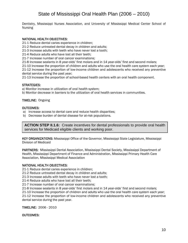Dentistry, Mississippi Nurses Association, and University of Mississippi Medical Center School of Nursing

### NATIONAL HEALTH OBJECTIVES:

21-1 Reduce dental caries experience in children;

21-2 Reduce untreated dental decay in children and adults;

21-3 Increase adults with teeth who have never lost a tooth;

21-4 Reduce adults who have lost all their teeth;

21-7 Increase number of oral cancer examinations;

21-8 Increase sealants in 8 year-olds' first molars and in 14 year-olds' first and second molars;

21-10 Increase the proportion of children and adults who use the oral health care system each year; 21-12 Increase the proportion of low-income children and adolescents who received any preventive dental service during the past year;

21-13 Increase the proportion of school-based health centers with an oral health component.

### STRATEGIES:

a) Monitor increase in utilization of oral health system;

b) Monitor decrease in barriers to the utilization of oral health services in communities.

### TIMELINE: Ongoing

### OUTCOMES:

- a) Increase access to dental care and reduce health disparities;
- b) Decrease burden of dental disease for at-risk populations.

**ACTION STEP II.1.6:** Create incentives for dental professionals to provide oral health services for Medicaid eligible clients and working poor.

KEY ORGANIZATIONS: Mississippi Office of the Governor, Mississippi State Legislature, Mississippi Division of Medicaid

PARTNERS: Mississippi Dental Association, Mississippi Dental Society, Mississippi Department of Health, Mississippi Department of Finance and Administration, Mississippi Primary Health Care Association, Mississippi Medical Association

### NATIONAL HEALTH OBJECTIVES:

21-1 Reduce dental caries experience in children;

21-2 Reduce untreated dental decay in children and adults;

21-3 Increase adults with teeth who have never lost a tooth;

21-4 Reduce adults who have lost all their teeth;

21-7 Increase number of oral cancer examinations;

21-8 Increase sealants in 8 year-olds' first molars and in 14 year-olds' first and second molars;

21-10 Increase the proportion of children and adults who use the oral health care system each year;

21-12 Increase the proportion of low-income children and adolescents who received any preventive dental service during the past year.

TIMELINE: 2006 - 2010

OUTCOMES: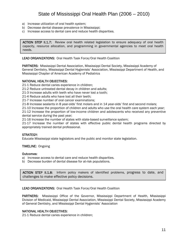- a) Increase utilization of oral health system;
- b) Decrease dental disease prevalence in Mississippi;
- c) Increase access to dental care and reduce health disparities.

ACTION STEP II.1.7: Review oral health related legislation to ensure adequacy of oral health capacity, resource allocation, and programming in governmental agencies to meet oral health needs.

LEAD ORGANIZATIONS: Oral Health Task Force/Oral Health Coalition

PARTNERS: Mississippi Dental Association, Mississippi Dental Society, Mississippi Academy of General Dentistry, Mississippi Dental Hygienists' Association, Mississippi Department of Health, and Mississippi Chapter of American Academy of Pediatrics

#### NATIONAL HEALTH OBJECTIVES:

21-1 Reduce dental caries experience in children;

21-2 Reduce untreated dental decay in children and adults;

21-3 Increase adults with teeth who have never lost a tooth;

21-4 Reduce adults who have lost all their teeth;

21-7 Increase number of oral cancer examinations;

21-8 Increase sealants in 8 year-olds' first molars and in 14 year-olds' first and second molars;

21-10 Increase the proportion of children and adults who use the oral health care system each year;

21-12 Increase the proportion of low-income children and adolescents who received any preventive dental service during the past year;

21-16 Increase the number of states with state-based surveillance system;

21-17 Increase the number of states with effective public dental health programs directed by appropriately trained dental professional.

### STRATEGY:

Educate Mississippi state legislators and the public and monitor state legislation.

### TIMELINE: Ongoing

#### Outcomes:

- a) Increase access to dental care and reduce health disparities.
- b) Decrease burden of dental disease for at-risk populations.

ACTION STEP II.1.8: Inform policy makers of identified problems, progress to date, and challenges to make effective policy decisions.

LEAD ORGANIZATIONS: Oral Health Task Force/Oral Health Coalition

PARTNERS: Mississippi Office of the Governor, Mississippi Department of Health, Mississippi Division of Medicaid, Mississippi Dental Association, Mississippi Dental Society, Mississippi Academy of General Dentistry, and Mississippi Dental Hygienists' Association

#### NATIONAL HEALTH OBJECTIVES:

21-1 Reduce dental caries experience in children;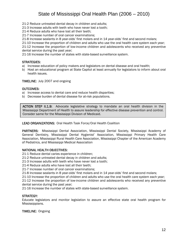21-2 Reduce untreated dental decay in children and adults;

21-3 Increase adults with teeth who have never lost a tooth;

21-4 Reduce adults who have lost all their teeth;

21-7 Increase number of oral cancer examinations;

21-8 Increase sealants in 8 year-olds' first molars and in 14 year-olds' first and second molars;

21-10 Increase the proportion of children and adults who use the oral health care system each year;

21-12 Increase the proportion of low-income children and adolescents who received any preventive dental service during the past year;

21-16 Increase the number of states with state-based surveillance system.

### STRATEGIES:

- a) Increase education of policy makers and legislators on dental disease and oral health;
- b) Host an educational program at State Capitol at least annually for legislators to inform about oral health issues.

### TIMELINE: July 2007 and ongoing

### OUTCOMES:

- a) Increase access to dental care and reduce health disparities;
- b) Decrease burden of dental disease for at-risk populations.

 Consider same for the Mississippi Division of Medicaid. ACTION STEP II.1.9: Advocate legislative strategy to mandate an oral health division in the Mississippi Department of Health to assure leadership for effective disease prevention and control.

### LEAD ORGANIZATIONS: Oral Health Task Force/Oral Health Coalition

PARTNERS: Mississippi Dental Association, Mississippi Dental Society, Mississippi Academy of General Dentistry, Mississippi Dental Hygienist' Association, Mississippi Primary Health Care Association, Mississippi Rural Health Care Association, Mississippi Chapter of the American Academy of Pediatrics, and Mississippi Medical Association

### NATIONAL HEALTH OBJECTIVES:

21-1 Reduce dental caries experience in children;

21-2 Reduce untreated dental decay in children and adults;

21-3 Increase adults with teeth who have never lost a tooth;

21-4 Reduce adults who have lost all their teeth;

21-7 Increase number of oral cancer examinations;

21-8 Increase sealants in 8 year-olds' first molars and in 14 year-olds' first and second molars;

21-10 Increase the proportion of children and adults who use the oral health care system each year;

21-12 Increase the proportion of low-income children and adolescents who received any preventive dental service during the past year;

21-16 Increase the number of states with state-based surveillance system.

### STRATEGY:

Educate legislators and monitor legislation to assure an effective state oral health program for Mississippians.

TIMELINE: Ongoing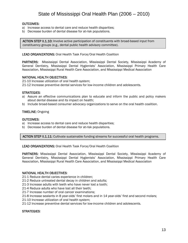### OUTCOMES:

- a) Increase access to dental care and reduce health disparities;
- b) Decrease burden of dental disease for at-risk populations.

ACTION STEP II.1.10: Involve active participation of constituents with broad-based input from constituency groups (e.g., dental public health advisory committee).

LEAD ORGANIZATIONS: Oral Health Task Force/Oral Health Coalition

PARTNERS: Mississippi Dental Association, Mississippi Dental Society, Mississippi Academy of General Dentistry, Mississippi Dental Hygienists' Association, Mississippi Primary Health Care Association, Mississippi Rural Health Care Association, and Mississippi Medical Association

#### NATIONAL HEALTH OBJECTIVES:

21-10 Increase utilization of oral health system;

21-12 Increase preventive dental services for low-income children and adolescents.

#### STRATEGIES:

- a) Assure an effective communications plan to educate and inform the public and policy makers about dental disease and its impact on health;
- b) Include broad-based consumer advocacy organizations to serve on the oral health coalition.

#### TIMELINE: Ongoing

#### OUTCOMES:

- a) Increase access to dental care and reduce health disparities;
- b) Decrease burden of dental disease for at-risk populations.

ACTION STEP II.1.11: Cultivate sustainable funding streams for successful oral health programs.

LEAD ORGANIZATIONS: Oral Health Task Force/Oral Health Coalition

PARTNERS: Mississippi Dental Association, Mississippi Dental Society, Mississippi Academy of General Dentistry, Mississippi Dental Hygienists' Association, Mississippi Primary Health Care Association, Mississippi Rural Health Care Association, and Mississippi Medical Association

### NATIONAL HEALTH OBJECTIVES:

21-1 Reduce dental caries experience in children;

- 21-2 Reduce untreated dental decay in children and adults;
- 21-3 Increase adults with teeth who have never lost a tooth;
- 21-4 Reduce adults who have lost all their teeth;
- 21-7 Increase number of oral cancer examinations;
- 21-8 Increase sealants in 8 year-olds' first molars and in 14 year-olds' first and second molars;
- 21-10 Increase utilization of oral health system;
- 21-12 Increase preventive dental services for low-income children and adolescents.

### STRATEGIES: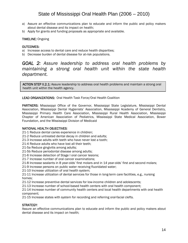- a) Assure an effective communications plan to educate and inform the public and policy makers about dental disease and its impact on health;
- b) Apply for grants and funding proposals as appropriate and available.

### TIMELINE: Ongoing

### OUTCOMES:

- a) Increase access to dental care and reduce health disparities;
- b) Decrease burden of dental disease for at-risk populations.

### *GOAL 2: Assure leadership to address oral health problems by maintaining a strong oral health unit within the state health department.*

ACTION STEP II.2.1: Assure leadership to address oral health problems and maintain a strong oral health unit within the health agency.

### LEAD ORGANIZATIONS: Oral Health Task Force/Oral Health Coalition

PARTNERS: Mississippi Office of the Governor, Mississippi State Legislature, Mississippi Dental Association, Mississippi Dental Hygienists' Association, Mississippi Academy of General Dentistry, Mississippi Primary Health Care Association, Mississippi Rural Health Association, Mississippi Chapter of American Association of Pediatrics, Mississippi State Medical Association, Bower Foundation, and the Mississippi Division of Medicaid

### NATIONAL HEALTH OBJECTIVES:

- 21-1 Reduce dental caries experience in children;
- 21-2 Reduce untreated dental decay in children and adults;
- 21-3 Increase adults with teeth who have never lost a tooth;
- 21-4 Reduce adults who have lost all their teeth;
- 21-5a Reduce gingivitis among adults;
- 21-5b Reduce periodontal disease among adults;
- 21-6 Increase detection of Stage I oral cancer lesions;
- 21-7 Increase number of oral cancer examinations;
- 21-8 Increase sealants in 8 year-olds' first molars and in 14 year-olds' first and second molars;
- 21-9 Increase persons on public water receiving fluoridated water;
- 21-10 Increase utilization of oral health system;
- 21-11 Increase utilization of dental services for those in long-term care facilities, e.g., nursing homes;
- 21-12 Increase preventive dental services for low-income children and adolescents;
- 21-13 Increase number of school-based health centers with oral health component;

21-14 Increase number of community health centers and local health departments with oral health component;

21-15 Increase states with system for recording and referring oral-facial clefts.

### STRATEGY:

Assure an effective communications plan to educate and inform the public and policy makers about dental disease and its impact on health;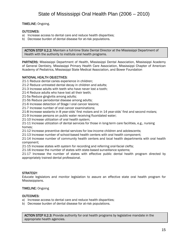TIMELINE: Ongoing.

### OUTCOMES:

 $\overline{\phantom{a}}$ 

- a) Increase access to dental care and reduce health disparities;
- b) Decrease burden of dental disease for at-risk populations.

Health with the authority to institute oral health programs. ACTION STEP II.2.2: Maintain a full-time State Dental Director at the Mississippi Department of

PARTNERS: Mississippi Department of Health, Mississippi Dental Association, Mississippi Academy of General Dentistry, Mississippi Primary Health Care Association, Mississippi Chapter of American Academy of Pediatrics, Mississippi State Medical Association, and Bower Foundation

### NATIONAL HEALTH OBJECTIVES:

21-1 Reduce dental caries experience in children;

- 21-2 Reduce untreated dental decay in children and adults;
- 21-3 Increase adults with teeth who have never lost a tooth;
- 21-4 Reduce adults who have lost all their teeth;
- 21-5a Reduce gingivitis among adults;
- 21-5b Reduce periodontal disease among adults;
- 21-6 Increase detection of Stage I oral cancer lesions;
- 21-7 Increase number of oral cancer examinations;
- 21-8 Increase sealants in 8 year-olds' first molars and in 14 year-olds' first and second molars;

21-9 Increase persons on public water receiving fluoridated water;

- 21-10 Increase utilization of oral health system;
- 21-11 Increase utilization of dental services for those in long-term care facilities, e.g., nursing homes;
- 21-12 Increase preventive dental services for low-income children and adolescents;

21-13 Increase number of school-based health centers with oral health component;

21-14 Increase number of community health centers and local health departments with oral health component;

21-15 Increase states with system for recording and referring oral-facial clefts;

21-16 Increase the number of states with state-based surveillance systems;

21-17 Increase the number of states with effective public dental health program directed by appropriately trained dental professional.

### STRATEGY:

Educate legislators and monitor legislation to assure an effective state oral health program for Mississippians.

### TIMELINE: Ongoing

### OUTCOMES:

- a) Increase access to dental care and reduce health disparities;
- b) Decrease burden of dental disease for at-risk populations.

**ACTION STEP II.2.3:** Provide authority for oral health programs by legislative mandate in the appropriate health agencies.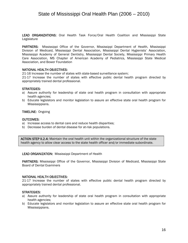LEAD ORGANIZATIONS: Oral Health Task Force/Oral Health Coalition and Mississippi State Legislature

PARTNERS: Mississippi Office of the Governor, Mississippi Department of Health, Mississippi Division of Medicaid, Mississippi Dental Association, Mississippi Dental Hygienists' Association, Mississippi Academy of General Dentistry, Mississippi Dental Society, Mississippi Primary Health Care Association, MS Chapter of American Academy of Pediatrics, Mississippi State Medical Association, and Bower Foundation

### NATIONAL HEALTH OBJECTIVES:

21-16 Increase the number of states with state-based surveillance system;

21-17 Increase the number of states with effective public dental health program directed by appropriately trained dental professional.

### STRATEGIES:

- a) Assure authority for leadership of state oral health program in consultation with appropriate health agencies;
- b) Educate legislators and monitor legislation to assure an effective state oral health program for Mississippians.

### TIMELINE: Ongoing

### OUTCOMES:

- a) Increase access to dental care and reduce health disparities;
- b) Decrease burden of dental disease for at-risk populations.

ACTION STEP II.2.4: Maintain the oral health unit within the organizational structure of the state health agency to allow clear access to the state health officer and/or immediate subordinate.

LEAD ORGANIZATION: Mississippi Department of Health

PARTNERS: Mississippi Office of the Governor, Mississippi Division of Medicaid, Mississippi State Board of Dental Examiners

### NATIONAL HEALTH OBJECTIVES:

21-17 Increase the number of states with effective public dental health program directed by appropriately trained dental professional.

#### STRATEGIES:

- a) Assure authority for leadership of state oral health program in consultation with appropriate health agencies;
- b) Educate legislators and monitor legislation to assure an effective state oral health program for Mississippians.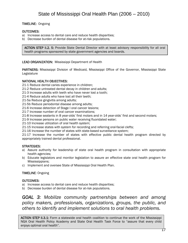TIMELINE: Ongoing

### OUTCOMES:

- a) Increase access to dental care and reduce health disparities;
- b) Decrease burden of dental disease for at-risk populations.

ACTION STEP II.2. 5: Provide State Dental Director with at least advisory responsibility for all oral health programs sponsored by state government agencies and boards.

LEAD ORGANIZATION: Mississippi Department of Health

PARTNERS: Mississippi Division of Medicaid, Mississippi Office of the Governor, Mississippi State Legislature

### NATIONAL HEALTH OBJECTIVES:

21-1 Reduce dental caries experience in children;

- 21-2 Reduce untreated dental decay in children and adults;
- 21-3 Increase adults with teeth who have never lost a tooth;
- 21-4 Reduce adults who have lost all their teeth;
- 21-5a Reduce gingivitis among adults;
- 21-5b Reduce periodontal disease among adults;
- 21-6 Increase detection of Stage I oral cancer lesions;
- 21-7 Increase number of oral cancer examinations;
- 21-8 Increase sealants in 8 year-olds' first molars and in 14 year-olds' first and second molars;
- 21-9 Increase persons on public water receiving fluoridated water;
- 21-10 Increase utilization of oral health system;
- 21-15 Increase states with system for recording and referring oral-facial clefts;
- 21-16 Increase the number of states with state-based surveillance system;

21-17 Increase the number of states with effective public dental health program directed by appropriately trained dental professional.

### STRATEGIES:

- a) Assure authority for leadership of state oral health program in consultation with appropriate health agencies;
- b) Educate legislators and monitor legislation to assure an effective state oral health program for Mississippians;
- c) Implement and oversee State of Mississippi Oral Health Plan.

### TIMELINE: Ongoing

### OUTCOMES:

- a) Increase access to dental care and reduce health disparities;
- b) Decrease burden of dental disease for at-risk populations.

*GOAL 3: Mobilize community partnerships between and among policy makers, professionals, organizations, groups, the public, and others to identify and implement solutions to oral health problems.* 

ACTION STEP II.3.1: Form a statewide oral health coalition to continue the work of the Mississippi NGA Oral Health Policy Academy and State Oral Health Task Force to "assure that every child enjoys optimal oral health".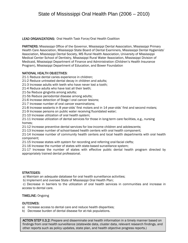### LEAD ORGANIZATIONS: Oral Health Task Force/Oral Health Coalition

PARTNERS: Mississippi Office of the Governor, Mississippi Dental Association, Mississippi Primary Health Care Association, Mississippi State Board of Dental Examiners, Mississippi Dental Hygienists' Association, Mississippi Dental Society, MS Rural Health Association, University of Mississippi Medical Center School of Dentistry, Mississippi Rural Water Association, Mississippi Division of Medicaid, Mississippi Department of Finance and Administration (Children's Health Insurance Program), Mississippi Department of Education, and Bower Foundation

### NATIONAL HEALTH OBJECTIVES:

21-1 Reduce dental caries experience in children;

21-2 Reduce untreated dental decay in children and adults;

21-3 Increase adults with teeth who have never lost a tooth;

21-4 Reduce adults who have lost all their teeth;

21-5a Reduce gingivitis among adults;

21-5b Reduce periodontal disease among adults;

21-6 Increase detection of Stage I oral cancer lesions;

21-7 Increase number of oral cancer examinations;

21-8 Increase sealants in 8 year-olds' first molars and in 14 year-olds' first and second molars;

21-9 Increase persons on public water receiving fluoridated water;

21-10 Increase utilization of oral health system;

21-11 Increase utilization of dental services for those in long-term care facilities, e.g., nursing homes;

21-12 Increase preventive dental services for low-income children and adolescents;

21-13 Increase number of school-based health centers with oral health component;

21-14 Increase number of community health centers and local health departments with oral health component;

21-15 Increase states with system for recording and referring oral-facial clefts;

21-16 Increase the number of states with state-based surveillance system;

21-17 Increase the number of states with effective public dental health program directed by appropriately trained dental professional.

### STRATEGIES:

a) Maintain an adequate database for oral health surveillance activities;

b) Implement and oversee State of Mississippi Oral Health Plan;

 c) Decrease in barriers to the utilization of oral health services in communities and increase in access to dental care.

### TIMELINE: Ongoing

### OUTCOMES:

a) Increase access to dental care and reduce health disparities;

b) Decrease burden of dental disease for at-risk populations.

18 ACTION STEP II.3.2: Prepare and disseminate oral health information in a timely manner based on findings from oral health surveillance (statewide data, cluster data, relevant research findings, and other reports such as policy updates, state plan, and health objective progress reports.)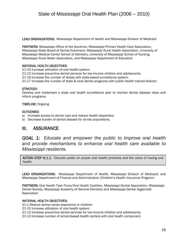LEAD ORGANIZATIONS: Mississippi Department of Health and Mississippi Division of Medicaid

PARTNERS: Mississippi Office of the Governor, Mississippi Primary Health Care Association, Mississippi State Board of Dental Examiners, Mississippi Rural Health Association, University of Mississippi Medical Center School of Dentistry, University of Mississippi School of Nursing, Mississippi Rural Water Association, and Mississippi Department of Education

### NATIONAL HEALTH OBJECTIVES:

21-10 Increase utilization of oral health system;

21-12 Increase preventive dental services for low-income children and adolescents;

21-16 Increase the number of states with state-based surveillance system;

21-17 Increase the number of state & local dental programs with public health trained director.

### STRATEGY:

Develop and implement a state oral health surveillance plan to monitor dental disease rates and inform programs.

### TIMELINE: Ongoing

### OUTCOMES:

- a) Increase access to dental care and reduce health disparities;
- b) Decrease burden of dental disease for at-risk populations.

### III. ASSURANCE

*GOAL 1: Educate and empower the public to improve oral health and provide mechanisms to enhance oral health care available to Mississippi residents.* 

ACTION STEP III.1.1: Educate public on proper oral health practices and the value of having oral health.

LEAD ORGANIZATIONS: Mississippi Department of Health, Mississippi Division of Medicaid, and Mississippi Department of Finance and Administration (Children's Health Insurance Program)

PARTNERS: Oral Health Task Force/Oral Health Coalition, Mississippi Dental Association, Mississippi Dental Society, Mississippi Academy of General Dentistry and Mississippi Dental Hygienists' Association

### NATIONAL HEALTH OBJECTIVES:

21-1 Reduce dental caries experience in children;

21-10 Increase utilization of oral health system;

21-12 Increase preventive dental services for low-income children and adolescents;

21-13 Increase number of school-based health centers with oral health component.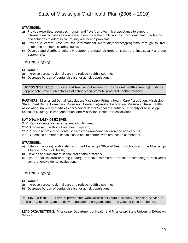### STRATEGIES:

- **a)** Provide expertise, resources (human and fiscal), and technical assistance to support informational activities to educate and empower the public about current oral health problems and solutions to address community oral health problems.
- **b)** Provide a central resource for informational materials/services/programs through toll-free telephone numbers, clearinghouses.
- **c)** Develop and distribute culturally appropriate materials/programs that are linguistically and age appropriate.

### TIMELINE: Ongoing

### OUTCOMES:

- a) Increase access to dental care and reduce health disparities;
- b) Decrease burden of dental disease for at-risk populations.

appropriate prevention activities at schools and promote good oral health practices. ACTION STEP III.1.2: Educate and train school nurses to provide oral health screening, institute

PARTNERS: Mississippi Dental Association, Mississippi Primary Health Care Association, Mississippi State Board Dental Examiners, Mississippi Dental Hygienists' Association, Mississippi Rural Health Association, University of Mississippi Medical Center School of Dentistry, University of Mississippi School of Nursing, Bower Foundation, and Mississippi Head Start Association

### NATIONAL HEALTH OBJECTIVES:

21-1 Reduce dental caries experience in children;

21-10 Increase utilization of oral health system;

21-12 Increase preventive dental services for low-income children and adolescents;

21-13 Increase number of school-based health centers with oral health component.

### STRATEGIES:

- a) Establish working relationship with the Mississippi Office of Healthy Schools and the Mississippi Alliance for School Health;
- b) Develop and implement school oral health protocols;
- c) Assure that children entering kindergarten have completed oral health screening or received a comprehensive dental evaluation.

### TIMELINE: Ongoing

### OUTCOMES:

- a) Increase access to dental care and reduce health disparities;
- b) Decrease burden of dental disease for at-risk populations.

ACTION STEP III.1.3: Form a partnership with Mississippi State University Extension Service to utilize area health agents to deliver educational programs about the value of good oral health.

LEAD ORGANIZATIONS: Mississippi Department of Health and Mississippi State University Extension **Service**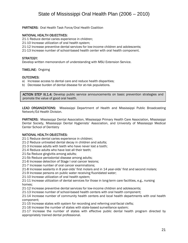### PARTNERS: Oral Health Task Force/Oral Health Coalition

### NATIONAL HEALTH OBJECTIVES:

21-1 Reduce dental caries experience in children;

- 21-10 Increase utilization of oral health system;
- 21-12 Increase preventive dental services for low-income children and adolescents;
- 21-13 Increase number of school-based health center with oral health component.

### STRATEGY:

Develop written memorandum of understanding with MSU Extension Service.

### TIMELINE: Ongoing

#### OUTCOMES:

- a) Increase access to dental care and reduce health disparities;
- b) Decrease burden of dental disease for at-risk populations.

ACTION STEP III.1.4: Develop public service announcements on basic prevention strategies and promote the value of good oral health.

LEAD ORGANIZATIONS: Mississippi Department of Health and Mississippi Public Broadcasting Network/Ed Health Division.

PARTNERS: Mississippi Dental Association, Mississippi Primary Health Care Association, Mississippi Dental Society, Mississippi Dental Hygienists' Association, and University of Mississippi Medical Center School of Dentistry

### NATIONAL HEALTH OBJECTIVES:

21-1 Reduce dental caries experience in children;

21-2 Reduce untreated dental decay in children and adults;

21-3 Increase adults with teeth who have never lost a tooth;

21-4 Reduce adults who have lost all their teeth;

21-5a Reduce gingivitis among adults;

21-5b Reduce periodontal disease among adults;

21-6 Increase detection of Stage I oral cancer lesions;

21-7 Increase number of oral cancer examinations;

21-8 Increase sealants in 8 year-olds' first molars and in 14 year-olds' first and second molars;

21-9 Increase persons on public water receiving fluoridated water;

21-10 Increase utilization of oral health system;

21-11 Increase utilization of dental services for those in long-term care facilities, e.g., nursing homes;

21-12 Increase preventive dental services for low-income children and adolescents;

21-13 Increase number of school-based health centers with oral health component;

21-14 Increase number of community health centers and local health departments with oral health component;

21-15 Increase states with system for recording and referring oral-facial clefts;

21-16 Increase the number of states with state-based surveillance system;

21-17 Increase the number of states with effective public dental health program directed by appropriately trained dental professional.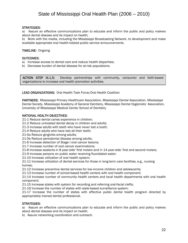### STRATEGIES:

a) Assure an effective communications plan to educate and inform the public and policy makers about dental disease and its impact on health;

b) Work with the media, including the Mississippi Broadcasting Network, to development and make available appropriate oral health-related public service announcements.

TIMELINE: Ongoing

### OUTCOMES:

- a) Increase access to dental care and reduce health disparities;
- b) Decrease burden of dental disease for at-risk populations.

ACTION STEP III.1.5: Develop partnerships with community, consumer and faith-based organizations to increase oral health promotion activities.

LEAD ORGANIZATIONS: Oral Health Task Force/Oral Health Coalition

PARTNERS: Mississippi Primary Healthcare Association, Mississippi Dental Association, Mississippi Dental Society, Mississippi Academy of General Dentistry, Mississippi Dental Hygienists' Association, University of Mississippi Medical Center School of Dentistry

### NATIONAL HEALTH OBJECTIVES:

21-1 Reduce dental caries experience in children;

21-2 Reduce untreated dental decay in children and adults;

21-3 Increase adults with teeth who have never lost a tooth;

21-4 Reduce adults who have lost all their teeth;

21-5a Reduce gingivitis among adults;

21-5b Reduce periodontal disease among adults;

21-6 Increase detection of Stage I oral cancer lesions;

- 21-7 Increase number of oral cancer examinations;
- 21-8 Increase sealants in 8 year-olds' first molars and in 14 year-olds' first and second molars;

21-9 Increase persons on public water receiving fluoridated water;

21-10 Increase utilization of oral health system;

21-11 Increase utilization of dental services for those in long-term care facilities, e.g., nursing homes;

21-12 Increase preventive dental services for low-income children and adolescents;

21-13 Increase number of school-based health centers with oral health component;

21-14 Increase number of community health centers and local health departments with oral health component;

21-15 Increase states with system for recording and referring oral-facial clefts;

21-16 Increase the number of states with state-based surveillance system;

21-17 Increase the number of states with effective public dental health program directed by appropriately trained dental professional.

### STRATEGIES:

a) Assure an effective communications plan to educate and inform the public and policy makers about dental disease and its impact on health.

b) Assure networking coordination and outreach.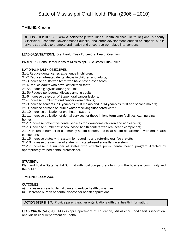TIMELINE: Ongoing

ACTION STEP III.1.6: Form a partnership with Hinds Health Alliance, Delta Regional Authority, Mississippi Economic Development Councils, and other development entities to support publicprivate strategies to promote oral health and encourage workplace interventions.

LEAD ORGANIZATIONS: Oral Health Task Force/Oral Health Coalition

PARTNERS: Delta Dental Plans of Mississippi, Blue Cross/Blue Shield

### NATIONAL HEALTH OBJECTIVES:

21-1 Reduce dental caries experience in children;

21-2 Reduce untreated dental decay in children and adults;

21-3 Increase adults with teeth who have never lost a tooth;

21-4 Reduce adults who have lost all their teeth;

21-5a Reduce gingivitis among adults;

21-5b Reduce periodontal disease among adults;

21-6 Increase detection of Stage I oral cancer lesions;

21-7 Increase number of oral cancer examinations;

21-8 Increase sealants in 8 year-olds' first molars and in 14 year-olds' first and second molars;

21-9 Increase persons on public water receiving fluoridated water;

21-10 Increase utilization of oral health system;

21-11 Increase utilization of dental services for those in long-term care facilities, e.g., nursing homes;

21-12 Increase preventive dental services for low-income children and adolescents;

21-13 Increase number of school-based health centers with oral health component;

21-14 Increase number of community health centers and local health departments with oral health component;

21-15 Increase states with system for recording and referring oral-facial clefts;

21-16 Increase the number of states with state-based surveillance system;

21-17 Increase the number of states with effective public dental health program directed by appropriately trained dental professional.

### STRATEGY:

Plan and host a State Dental Summit with coalition partners to inform the business community and the public.

### TIMELINE: 2006-2007

### OUTCOMES:

- a) Increase access to dental care and reduce health disparities;
- b) Decrease burden of dental disease for at-risk populations.

ACTION STEP III.1.7: Provide parent-teacher organizations with oral health information.

LEAD ORGANIZATIONS: Mississippi Department of Education, Mississippi Head Start Association, and Mississippi Department of Health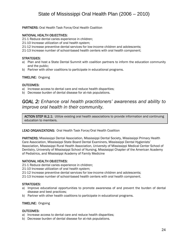PARTNERS: Oral Health Task Force/Oral Health Coalition

### NATIONAL HEALTH OBJECTIVES:

21-1 Reduce dental caries experience in children;

- 21-10 Increase utilization of oral health system;
- 21-12 Increase preventive dental services for low-income children and adolescents;
- 21-13 Increase number of school-based health centers with oral health component;

#### STRATEGIES:

- a) Plan and host a State Dental Summit with coalition partners to inform the education community and the public;
- b) Partner with other coalitions to participate in educational programs.

### TIMELINE: Ongoing

#### OUTCOMES:

- a) Increase access to dental care and reduce health disparities;
- b) Decrease burden of dental disease for at-risk populations.

### *GOAL 2: Enhance oral health practitioners' awareness and ability to improve oral health in their community.*

ACTION STEP III.2.1: Utilize existing oral health associations to provide information and continuing education to members. L

### LEAD ORGANIZATIONS: Oral Health Task Force/Oral Health Coalition

PARTNERS: Mississippi Dental Association, Mississippi Dental Society, Mississippi Primary Health Care Association, Mississippi State Board Dental Examiners, Mississippi Dental Hygienists' Association, Mississippi Rural Health Association, University of Mississippi Medical Center School of Dentistry, University of Mississippi School of Nursing, Mississippi Chapter of the American Academy of Pediatrics, and Mississippi Academy of Family Medicine

#### NATIONAL HEALTH OBJECTIVES:

21-1 Reduce dental caries experience in children;

- 21-10 Increase utilization of oral health system;
- 21-12 Increase preventive dental services for low-income children and adolescents;
- 21-13 Increase number of school-based health centers with oral health component.

### STRATEGIES:

- a) Improve educational opportunities to promote awareness of and prevent the burden of dental disease and best practices;
- b) Partner with other health coalitions to participate in educational programs.

#### TIMELINE: Ongoing

#### OUTCOMES:

- a) Increase access to dental care and reduce health disparities;
- b) Decrease burden of dental disease for at-risk populations.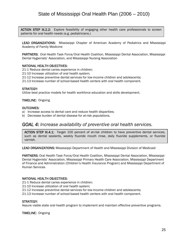ACTION STEP III.2.2: Explore feasibility of engaging other health care professionals to screen patients for oral health needs (e.g. pediatricians.)

LEAD ORGANIZATIONS: Mississippi Chapter of American Academy of Pediatrics and Mississippi Academy of Family Medicine

PARTNERS: Oral Health Task Force/Oral Health Coalition, Mississippi Dental Association, Mississippi Dental Hygienists' Association, and Mississippi Nursing Association

### NATIONAL HEALTH OBJECTIVES:

21-1 Reduce dental caries experience in children; 21-10 Increase utilization of oral health system; 21-12 Increase preventive dental services for low-income children and adolescents; 21-13 Increase number of school-based health centers with oral health component.

### STRATEGY:

Utilize best practice models for health workforce education and skills development.

TIMELINE: Ongoing

### OUTCOMES:

 

- a) Increase access to dental care and reduce health disparities;
- b) Decrease burden of dental disease for at-risk populations.

### *GOAL 4: Increase availability of preventive oral health services.*

ACTION STEP III.4.1: Target 100 percent of at-risk children to have preventive dental services, such as dental sealants, weekly fluoride mouth rinse, daily fluoride supplements, or fluoride varnish.

LEAD ORGANIZATIONS: Mississippi Department of Health and Mississippi Division of Medicaid

PARTNERS: Oral Health Task Force/Oral Health Coalition, Mississippi Dental Association, Mississippi Dental Hygienists' Association, Mississippi Primary Health Care Association, Mississippi Department of Finance and Administration (Children's Health Insurance Program) and Mississippi Department of Human Services

### NATIONAL HEALTH OBJECTIVES:

21-1 Reduce dental caries experience in children;

- 21-10 Increase utilization of oral health system;
- 21-12 Increase preventive dental services for low-income children and adolescents;
- 21-13 Increase number of school-based health centers with oral health component.

### STRATEGY:

Assure viable state oral health program to implement and maintain effective preventive programs.

TIMELINE: Ongoing